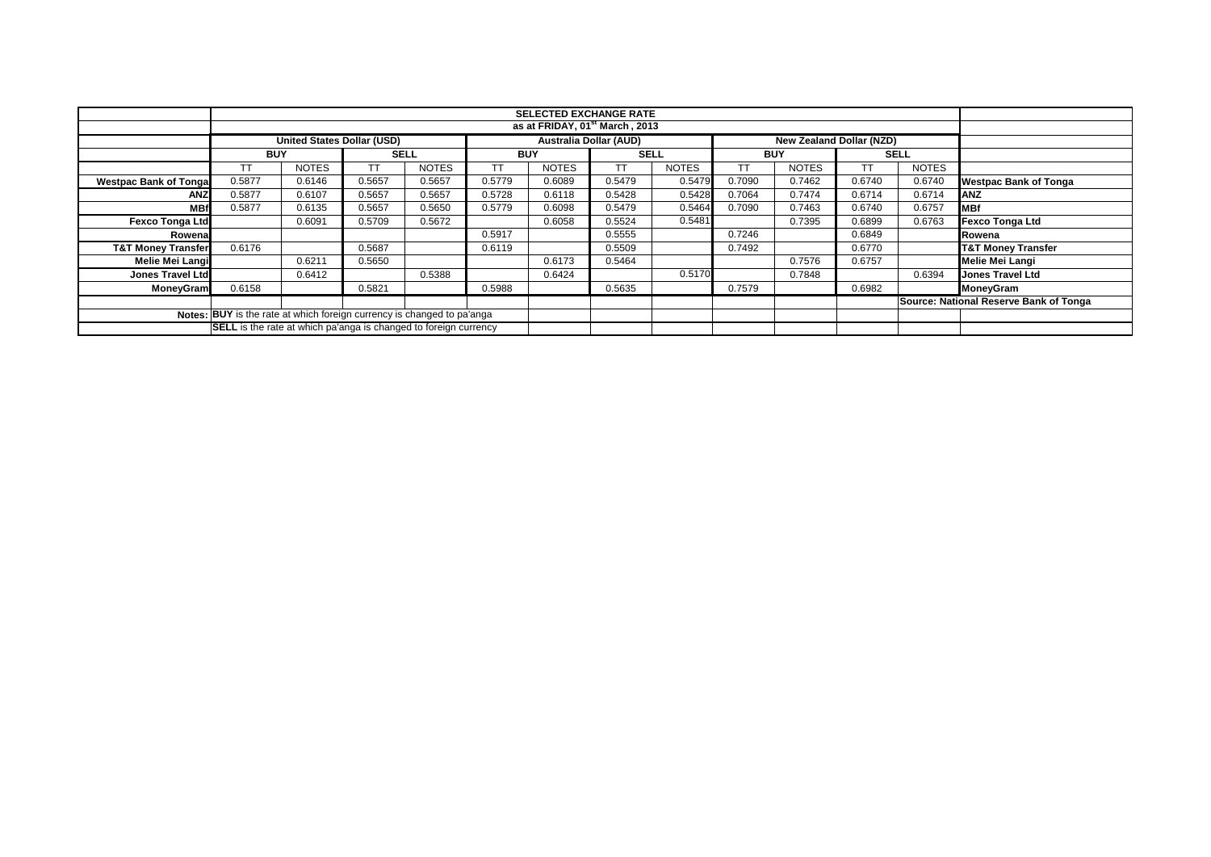|                                                                        |                                                                                                       | <b>SELECTED EXCHANGE RATE</b> |             |              |            |              |             |              |            |              |           |              |                                        |
|------------------------------------------------------------------------|-------------------------------------------------------------------------------------------------------|-------------------------------|-------------|--------------|------------|--------------|-------------|--------------|------------|--------------|-----------|--------------|----------------------------------------|
|                                                                        | as at FRIDAY, 01 <sup>st</sup> March, 2013                                                            |                               |             |              |            |              |             |              |            |              |           |              |                                        |
|                                                                        | <b>United States Dollar (USD)</b><br><b>Australia Dollar (AUD)</b><br><b>New Zealand Dollar (NZD)</b> |                               |             |              |            |              |             |              |            |              |           |              |                                        |
|                                                                        | <b>BUY</b>                                                                                            |                               | <b>SELL</b> |              | <b>BUY</b> |              | <b>SELL</b> |              | <b>BUY</b> |              |           | <b>SELL</b>  |                                        |
|                                                                        |                                                                                                       | <b>NOTES</b>                  | ТT          | <b>NOTES</b> | TΤ         | <b>NOTES</b> | TТ          | <b>NOTES</b> | ТT         | <b>NOTES</b> | <b>TT</b> | <b>NOTES</b> |                                        |
| <b>Westpac Bank of Tonga</b>                                           | 0.5877                                                                                                | 0.6146                        | 0.5657      | 0.5657       | 0.5779     | 0.6089       | 0.5479      | 0.5479       | 0.7090     | 0.7462       | 0.6740    | 0.6740       | <b>Westpac Bank of Tonga</b>           |
| <b>ANZ</b>                                                             | 0.5877                                                                                                | 0.6107                        | 0.5657      | 0.5657       | 0.5728     | 0.6118       | 0.5428      | 0.5428       | 0.7064     | 0.7474       | 0.6714    | 0.6714       | <b>IANZ</b>                            |
| <b>MB</b>                                                              | 0.5877                                                                                                | 0.6135                        | 0.5657      | 0.5650       | 0.5779     | 0.6098       | 0.5479      | 0.5464       | 0.7090     | 0.7463       | 0.6740    | 0.6757       | <b>IMBf</b>                            |
| <b>Fexco Tonga Ltd</b>                                                 |                                                                                                       | 0.6091                        | 0.5709      | 0.5672       |            | 0.6058       | 0.5524      | 0.5481       |            | 0.7395       | 0.6899    | 0.6763       | <b>Fexco Tonga Ltd</b>                 |
| Rowena                                                                 |                                                                                                       |                               |             |              | 0.5917     |              | 0.5555      |              | 0.7246     |              | 0.6849    |              | Rowena                                 |
| <b>T&amp;T Money Transfer</b>                                          | 0.6176                                                                                                |                               | 0.5687      |              | 0.6119     |              | 0.5509      |              | 0.7492     |              | 0.6770    |              | <b>T&amp;T Money Transfer</b>          |
| Melie Mei Langi                                                        |                                                                                                       | 0.6211                        | 0.5650      |              |            | 0.6173       | 0.5464      |              |            | 0.7576       | 0.6757    |              | <b>Melie Mei Langi</b>                 |
| Jones Travel Ltd                                                       |                                                                                                       | 0.6412                        |             | 0.5388       |            | 0.6424       |             | 0.5170       |            | 0.7848       |           | 0.6394       | <b>Jones Travel Ltd</b>                |
| MoneyGram                                                              | 0.6158                                                                                                |                               | 0.5821      |              | 0.5988     |              | 0.5635      |              | 0.7579     |              | 0.6982    |              | MoneyGram                              |
|                                                                        |                                                                                                       |                               |             |              |            |              |             |              |            |              |           |              | Source: National Reserve Bank of Tonga |
| Notes: BUY is the rate at which foreign currency is changed to pa'anga |                                                                                                       |                               |             |              |            |              |             |              |            |              |           |              |                                        |
|                                                                        | <b>SELL</b> is the rate at which pa'anga is changed to foreign currency                               |                               |             |              |            |              |             |              |            |              |           |              |                                        |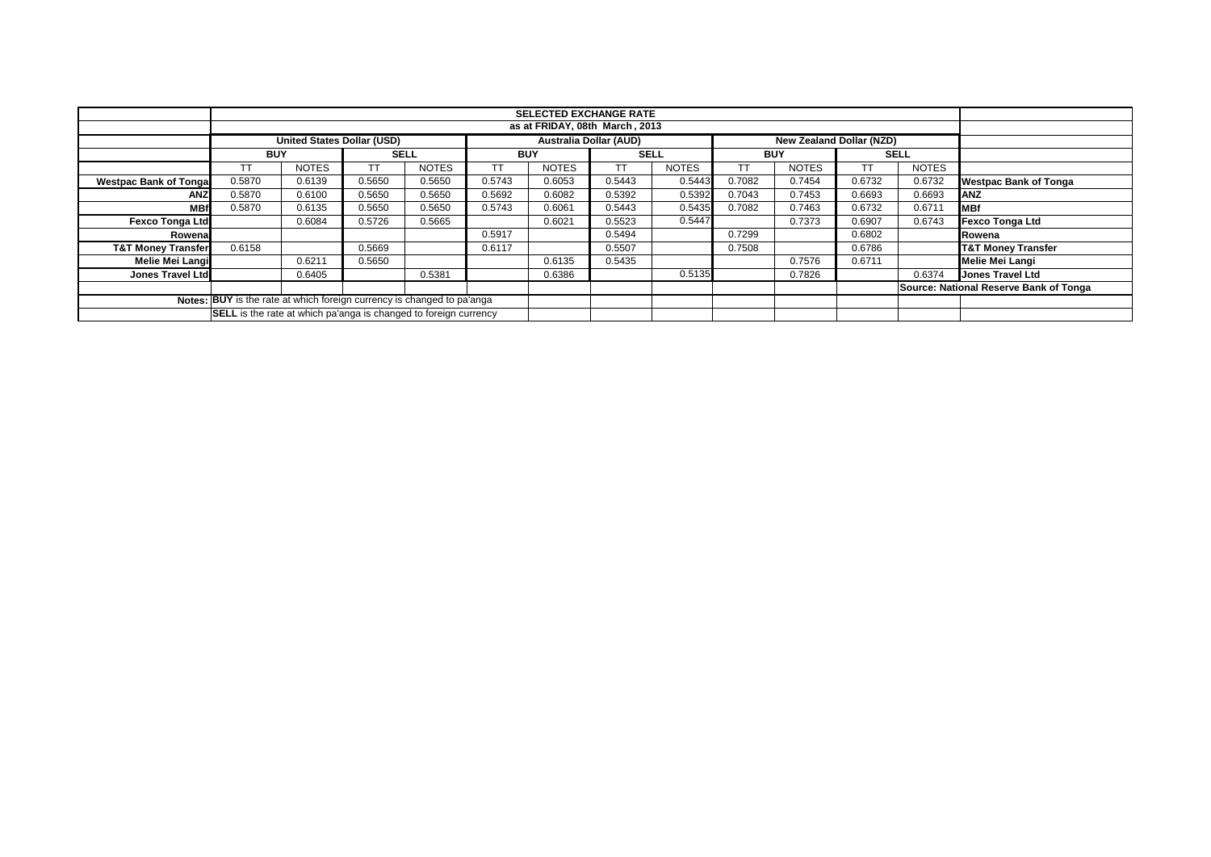|                                                                        |                                                                                         | <b>SELECTED EXCHANGE RATE</b> |             |              |        |              |             |              |            |              |        |              |                                        |
|------------------------------------------------------------------------|-----------------------------------------------------------------------------------------|-------------------------------|-------------|--------------|--------|--------------|-------------|--------------|------------|--------------|--------|--------------|----------------------------------------|
|                                                                        | as at FRIDAY, 08th March, 2013                                                          |                               |             |              |        |              |             |              |            |              |        |              |                                        |
|                                                                        | United States Dollar (USD)<br><b>Australia Dollar (AUD)</b><br>New Zealand Dollar (NZD) |                               |             |              |        |              |             |              |            |              |        |              |                                        |
|                                                                        | <b>BUY</b>                                                                              |                               | <b>SELL</b> |              |        | <b>BUY</b>   | <b>SELL</b> |              | <b>BUY</b> |              |        | <b>SELL</b>  |                                        |
|                                                                        |                                                                                         | <b>NOTES</b>                  | тт          | <b>NOTES</b> |        | <b>NOTES</b> | ТT          | <b>NOTES</b> | TТ         | <b>NOTES</b> | TT     | <b>NOTES</b> |                                        |
| <b>Westpac Bank of Tonga</b>                                           | 0.5870                                                                                  | 0.6139                        | 0.5650      | 0.5650       | 0.5743 | 0.6053       | 0.5443      | 0.5443       | 0.7082     | 0.7454       | 0.6732 | 0.6732       | <b>Westpac Bank of Tonga</b>           |
| <b>ANZ</b>                                                             | 0.5870                                                                                  | 0.6100                        | 0.5650      | 0.5650       | 0.5692 | 0.6082       | 0.5392      | 0.5392       | 0.7043     | 0.7453       | 0.6693 | 0.6693       | <b>IANZ</b>                            |
| MB1                                                                    | 0.5870                                                                                  | 0.6135                        | 0.5650      | 0.5650       | 0.5743 | 0.6061       | 0.5443      | 0.5435       | 0.7082     | 0.7463       | 0.6732 | 0.6711       | <b>IMBf</b>                            |
| <b>Fexco Tonga Ltd</b>                                                 |                                                                                         | 0.6084                        | 0.5726      | 0.5665       |        | 0.6021       | 0.5523      | 0.5447       |            | 0.7373       | 0.6907 | 0.6743       | <b>Fexco Tonga Ltd</b>                 |
| Rowena                                                                 |                                                                                         |                               |             |              | 0.5917 |              | 0.5494      |              | 0.7299     |              | 0.6802 |              | Rowena                                 |
| <b>T&amp;T Money Transfer</b>                                          | 0.6158                                                                                  |                               | 0.5669      |              | 0.6117 |              | 0.5507      |              | 0.7508     |              | 0.6786 |              | <b>T&amp;T Money Transfer</b>          |
| Melie Mei Langi                                                        |                                                                                         | 0.6211                        | 0.5650      |              |        | 0.6135       | 0.5435      |              |            | 0.7576       | 0.6711 |              | Melie Mei Langi                        |
| Jones Travel Ltd                                                       |                                                                                         | 0.6405                        |             | 0.5381       |        | 0.6386       |             | 0.5135       |            | 0.7826       |        | 0.6374       | <b>Jones Travel Ltd</b>                |
|                                                                        |                                                                                         |                               |             |              |        |              |             |              |            |              |        |              | Source: National Reserve Bank of Tonga |
| Notes: BUY is the rate at which foreign currency is changed to pa'anga |                                                                                         |                               |             |              |        |              |             |              |            |              |        |              |                                        |
|                                                                        | <b>SELL</b> is the rate at which pa'anga is changed to foreign currency                 |                               |             |              |        |              |             |              |            |              |        |              |                                        |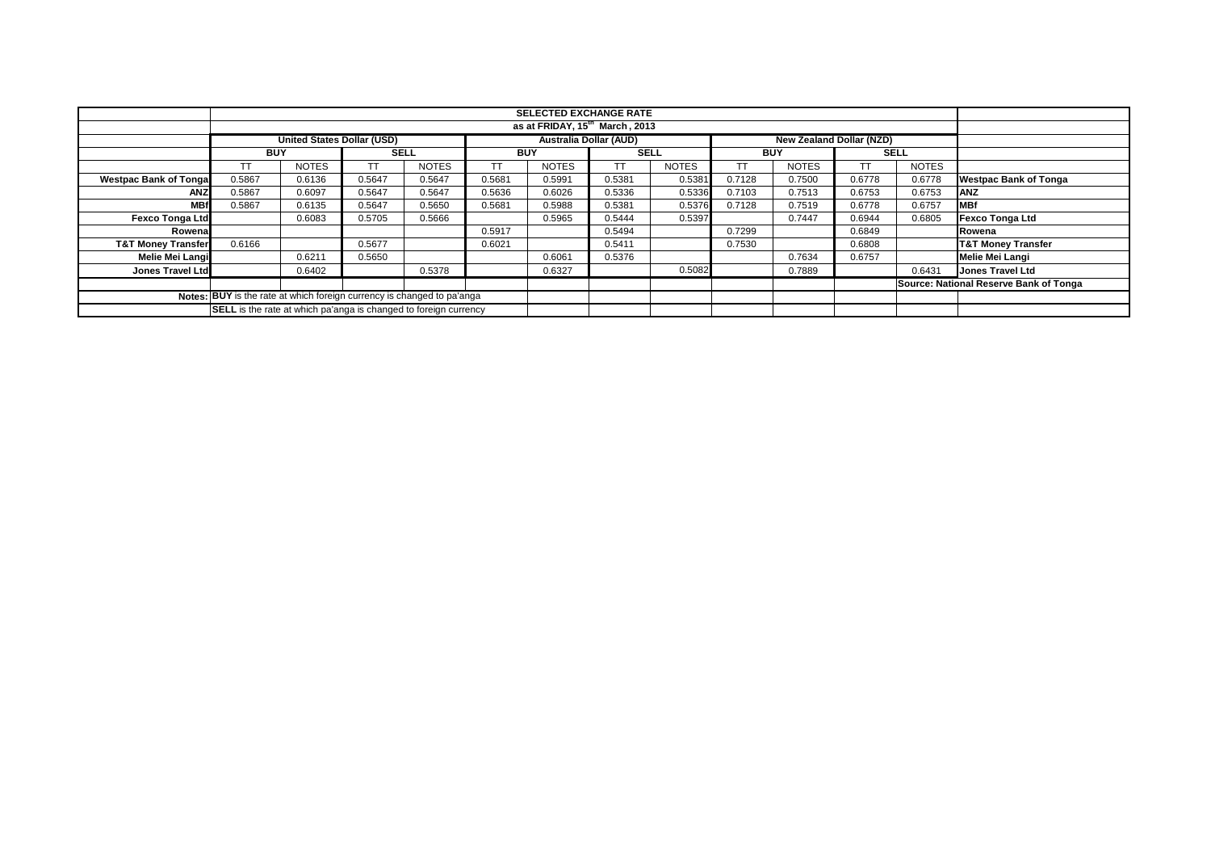|                                                                        |                                                                  |                                   |             |              |            |              | <b>SELECTED EXCHANGE RATE</b> |              |            |                                 |        |              |                                        |
|------------------------------------------------------------------------|------------------------------------------------------------------|-----------------------------------|-------------|--------------|------------|--------------|-------------------------------|--------------|------------|---------------------------------|--------|--------------|----------------------------------------|
|                                                                        | as at FRIDAY, 15 <sup>th</sup> March, 2013                       |                                   |             |              |            |              |                               |              |            |                                 |        |              |                                        |
|                                                                        |                                                                  | <b>United States Dollar (USD)</b> |             |              |            |              | <b>Australia Dollar (AUD)</b> |              |            | <b>New Zealand Dollar (NZD)</b> |        |              |                                        |
|                                                                        | <b>BUY</b>                                                       |                                   | <b>SELL</b> |              | <b>BUY</b> |              | <b>SELL</b>                   |              | <b>BUY</b> |                                 |        | <b>SELL</b>  |                                        |
|                                                                        | TT                                                               | <b>NOTES</b>                      |             | <b>NOTES</b> |            | <b>NOTES</b> | <b>TT</b>                     | <b>NOTES</b> | TТ         | <b>NOTES</b>                    | ТT     | <b>NOTES</b> |                                        |
| <b>Westpac Bank of Tongal</b>                                          | 0.5867                                                           | 0.6136                            | 0.5647      | 0.5647       | 0.5681     | 0.5991       | 0.5381                        | 0.5381       | 0.7128     | 0.7500                          | 0.6778 | 0.6778       | <b>Westpac Bank of Tonga</b>           |
| <b>ANZ</b>                                                             | 0.5867                                                           | 0.6097                            | 0.5647      | 0.5647       | 0.5636     | 0.6026       | 0.5336                        | 0.5336       | 0.7103     | 0.7513                          | 0.6753 | 0.6753       | <b>ANZ</b>                             |
| <b>MBf</b>                                                             | 0.5867                                                           | 0.6135                            | 0.5647      | 0.5650       | 0.5681     | 0.5988       | 0.5381                        | 0.5376       | 0.7128     | 0.7519                          | 0.6778 | 0.6757       | <b>IMBf</b>                            |
| <b>Fexco Tonga Ltd</b>                                                 |                                                                  | 0.6083                            | 0.5705      | 0.5666       |            | 0.5965       | 0.5444                        | 0.5397       |            | 0.7447                          | 0.6944 | 0.6805       | <b>Fexco Tonga Ltd</b>                 |
| Rowena                                                                 |                                                                  |                                   |             |              | 0.5917     |              | 0.5494                        |              | 0.7299     |                                 | 0.6849 |              | Rowena                                 |
| <b>T&amp;T Money Transfer</b>                                          | 0.6166                                                           |                                   | 0.5677      |              | 0.6021     |              | 0.5411                        |              | 0.7530     |                                 | 0.6808 |              | <b>T&amp;T Money Transfer</b>          |
| Melie Mei Langi                                                        |                                                                  | 0.6211                            | 0.5650      |              |            | 0.6061       | 0.5376                        |              |            | 0.7634                          | 0.6757 |              | <b>Melie Mei Langi</b>                 |
| <b>Jones Travel Ltd</b>                                                |                                                                  | 0.6402                            |             | 0.5378       |            | 0.6327       |                               | 0.5082       |            | 0.7889                          |        | 0.6431       | <b>Jones Travel Ltd</b>                |
|                                                                        |                                                                  |                                   |             |              |            |              |                               |              |            |                                 |        |              | Source: National Reserve Bank of Tonga |
| Notes: BUY is the rate at which foreign currency is changed to pa'anga |                                                                  |                                   |             |              |            |              |                               |              |            |                                 |        |              |                                        |
|                                                                        | SELL is the rate at which pa'anga is changed to foreign currency |                                   |             |              |            |              |                               |              |            |                                 |        |              |                                        |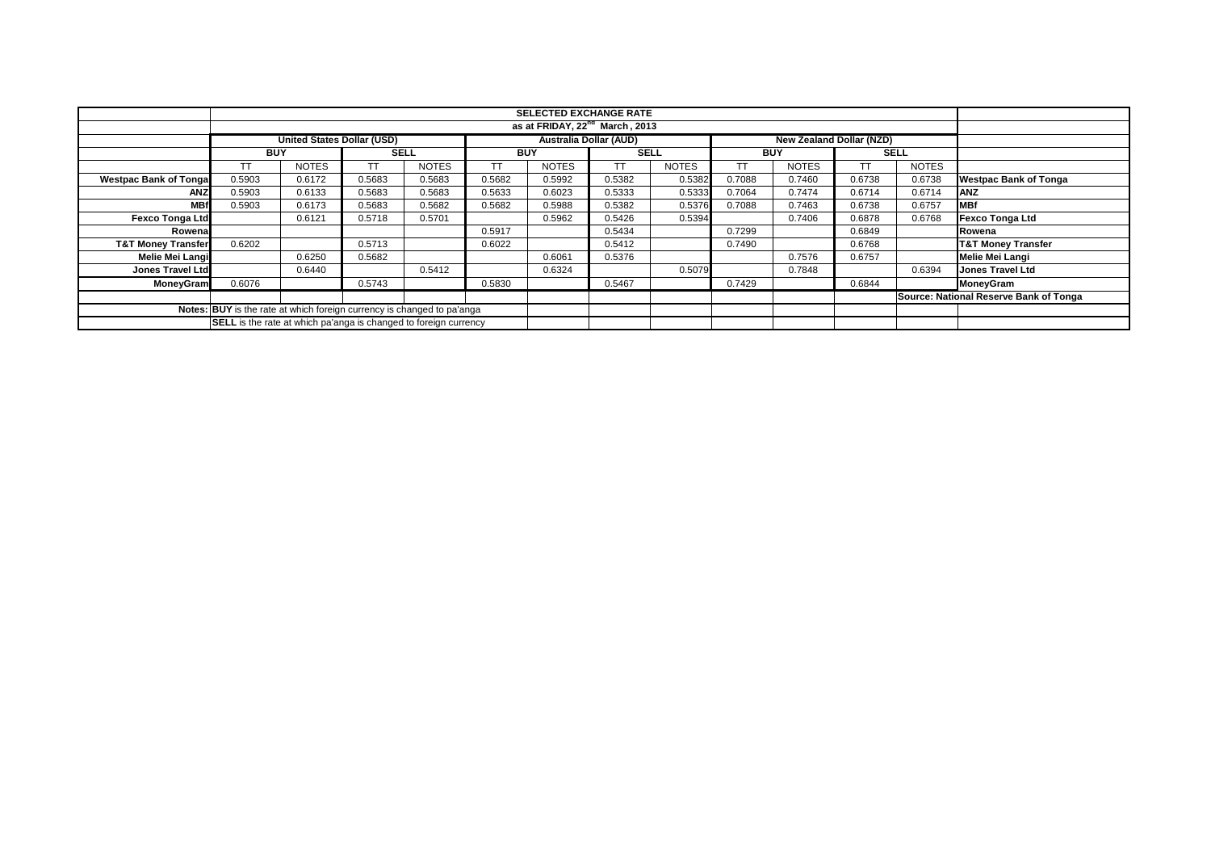|                                                                        |                                                                  |                                   |             |              |            | <b>SELECTED EXCHANGE RATE</b> |                               |              |            |                                 |        |              |                                        |
|------------------------------------------------------------------------|------------------------------------------------------------------|-----------------------------------|-------------|--------------|------------|-------------------------------|-------------------------------|--------------|------------|---------------------------------|--------|--------------|----------------------------------------|
|                                                                        | as at FRIDAY, 22 <sup>nd</sup> March, 2013                       |                                   |             |              |            |                               |                               |              |            |                                 |        |              |                                        |
|                                                                        |                                                                  | <b>United States Dollar (USD)</b> |             |              |            |                               | <b>Australia Dollar (AUD)</b> |              |            | <b>New Zealand Dollar (NZD)</b> |        |              |                                        |
|                                                                        | <b>BUY</b>                                                       |                                   | <b>SELL</b> |              | <b>BUY</b> |                               | <b>SELL</b>                   |              | <b>BUY</b> |                                 |        | <b>SELL</b>  |                                        |
|                                                                        | TT                                                               | <b>NOTES</b>                      |             | <b>NOTES</b> |            | <b>NOTES</b>                  | <b>TT</b>                     | <b>NOTES</b> | TТ         | <b>NOTES</b>                    | ТT     | <b>NOTES</b> |                                        |
| <b>Westpac Bank of Tonga</b>                                           | 0.5903                                                           | 0.6172                            | 0.5683      | 0.5683       | 0.5682     | 0.5992                        | 0.5382                        | 0.5382       | 0.7088     | 0.7460                          | 0.6738 | 0.6738       | <b>Westpac Bank of Tonga</b>           |
| ANZ                                                                    | 0.5903                                                           | 0.6133                            | 0.5683      | 0.5683       | 0.5633     | 0.6023                        | 0.5333                        | 0.5333       | 0.7064     | 0.7474                          | 0.6714 | 0.6714       | <b>ANZ</b>                             |
| <b>MBf</b>                                                             | 0.5903                                                           | 0.6173                            | 0.5683      | 0.5682       | 0.5682     | 0.5988                        | 0.5382                        | 0.5376       | 0.7088     | 0.7463                          | 0.6738 | 0.6757       | <b>MBf</b>                             |
| <b>Fexco Tonga Ltd</b>                                                 |                                                                  | 0.6121                            | 0.5718      | 0.5701       |            | 0.5962                        | 0.5426                        | 0.5394       |            | 0.7406                          | 0.6878 | 0.6768       | <b>Fexco Tonga Ltd</b>                 |
| Rowena                                                                 |                                                                  |                                   |             |              | 0.5917     |                               | 0.5434                        |              | 0.7299     |                                 | 0.6849 |              | Rowena                                 |
| <b>T&amp;T Money Transfer</b>                                          | 0.6202                                                           |                                   | 0.5713      |              | 0.6022     |                               | 0.5412                        |              | 0.7490     |                                 | 0.6768 |              | <b>T&amp;T Money Transfer</b>          |
| Melie Mei Langi                                                        |                                                                  | 0.6250                            | 0.5682      |              |            | 0.6061                        | 0.5376                        |              |            | 0.7576                          | 0.6757 |              | <b>Melie Mei Langi</b>                 |
| <b>Jones Travel Ltd</b>                                                |                                                                  | 0.6440                            |             | 0.5412       |            | 0.6324                        |                               | 0.5079       |            | 0.7848                          |        | 0.6394       | <b>Jones Travel Ltd</b>                |
| MoneyGram                                                              | 0.6076                                                           |                                   | 0.5743      |              | 0.5830     |                               | 0.5467                        |              | 0.7429     |                                 | 0.6844 |              | MoneyGram                              |
|                                                                        |                                                                  |                                   |             |              |            |                               |                               |              |            |                                 |        |              | Source: National Reserve Bank of Tonga |
| Notes: BUY is the rate at which foreign currency is changed to pa'anga |                                                                  |                                   |             |              |            |                               |                               |              |            |                                 |        |              |                                        |
|                                                                        | SELL is the rate at which pa'anga is changed to foreign currency |                                   |             |              |            |                               |                               |              |            |                                 |        |              |                                        |